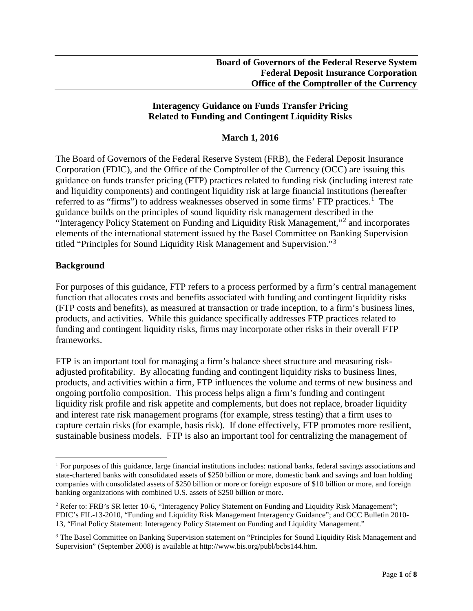### **Interagency Guidance on Funds Transfer Pricing Related to Funding and Contingent Liquidity Risks**

### **March 1, 2016**

The Board of Governors of the Federal Reserve System (FRB), the Federal Deposit Insurance Corporation (FDIC), and the Office of the Comptroller of the Currency (OCC) are issuing this guidance on funds transfer pricing (FTP) practices related to funding risk (including interest rate and liquidity components) and contingent liquidity risk at large financial institutions (hereafter referred to as "firms") to address weaknesses observed in some firms' FTP practices.<sup>[1](#page-0-0)</sup> The guidance builds on the principles of sound liquidity risk management described in the "Interagency Policy Statement on Funding and Liquidity Risk Management,"[2](#page-0-1) and incorporates elements of the international statement issued by the Basel Committee on Banking Supervision titled "Principles for Sound Liquidity Risk Management and Supervision."[3](#page-0-2)

### **Background**

For purposes of this guidance, FTP refers to a process performed by a firm's central management function that allocates costs and benefits associated with funding and contingent liquidity risks (FTP costs and benefits), as measured at transaction or trade inception, to a firm's business lines, products, and activities. While this guidance specifically addresses FTP practices related to funding and contingent liquidity risks, firms may incorporate other risks in their overall FTP frameworks.

FTP is an important tool for managing a firm's balance sheet structure and measuring riskadjusted profitability. By allocating funding and contingent liquidity risks to business lines, products, and activities within a firm, FTP influences the volume and terms of new business and ongoing portfolio composition. This process helps align a firm's funding and contingent liquidity risk profile and risk appetite and complements, but does not replace, broader liquidity and interest rate risk management programs (for example, stress testing) that a firm uses to capture certain risks (for example, basis risk). If done effectively, FTP promotes more resilient, sustainable business models. FTP is also an important tool for centralizing the management of

<span id="page-0-0"></span> <sup>1</sup> For purposes of this guidance, large financial institutions includes: national banks, federal savings associations and state-chartered banks with consolidated assets of \$250 billion or more, domestic bank and savings and loan holding companies with consolidated assets of \$250 billion or more or foreign exposure of \$10 billion or more, and foreign banking organizations with combined U.S. assets of \$250 billion or more.

<span id="page-0-1"></span><sup>&</sup>lt;sup>2</sup> Refer to: FRB's SR letter 10-6, "Interagency Policy Statement on Funding and Liquidity Risk Management"; FDIC's FIL-13-2010, "Funding and Liquidity Risk Management Interagency Guidance"; and OCC Bulletin 2010- 13, "Final Policy Statement: Interagency Policy Statement on Funding and Liquidity Management."

<span id="page-0-2"></span><sup>&</sup>lt;sup>3</sup> The Basel Committee on Banking Supervision statement on "Principles for Sound Liquidity Risk Management and Supervision" (September 2008) is available at http://www.bis.org/publ/bcbs144.htm.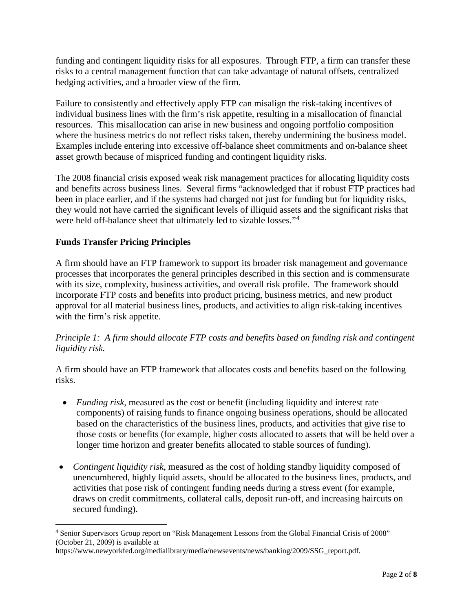funding and contingent liquidity risks for all exposures. Through FTP, a firm can transfer these risks to a central management function that can take advantage of natural offsets, centralized hedging activities, and a broader view of the firm.

Failure to consistently and effectively apply FTP can misalign the risk-taking incentives of individual business lines with the firm's risk appetite, resulting in a misallocation of financial resources. This misallocation can arise in new business and ongoing portfolio composition where the business metrics do not reflect risks taken, thereby undermining the business model. Examples include entering into excessive off-balance sheet commitments and on-balance sheet asset growth because of mispriced funding and contingent liquidity risks.

The 2008 financial crisis exposed weak risk management practices for allocating liquidity costs and benefits across business lines. Several firms "acknowledged that if robust FTP practices had been in place earlier, and if the systems had charged not just for funding but for liquidity risks, they would not have carried the significant levels of illiquid assets and the significant risks that were held off-balance sheet that ultimately led to sizable losses."[4](#page-1-0)

# **Funds Transfer Pricing Principles**

A firm should have an FTP framework to support its broader risk management and governance processes that incorporates the general principles described in this section and is commensurate with its size, complexity, business activities, and overall risk profile. The framework should incorporate FTP costs and benefits into product pricing, business metrics, and new product approval for all material business lines, products, and activities to align risk-taking incentives with the firm's risk appetite.

## *Principle 1: A firm should allocate FTP costs and benefits based on funding risk and contingent liquidity risk.*

A firm should have an FTP framework that allocates costs and benefits based on the following risks.

- *Funding risk*, measured as the cost or benefit (including liquidity and interest rate components) of raising funds to finance ongoing business operations, should be allocated based on the characteristics of the business lines, products, and activities that give rise to those costs or benefits (for example, higher costs allocated to assets that will be held over a longer time horizon and greater benefits allocated to stable sources of funding).
- *Contingent liquidity risk*, measured as the cost of holding standby liquidity composed of unencumbered, highly liquid assets, should be allocated to the business lines, products, and activities that pose risk of contingent funding needs during a stress event (for example, draws on credit commitments, collateral calls, deposit run-off, and increasing haircuts on secured funding).

<span id="page-1-0"></span> <sup>4</sup> Senior Supervisors Group report on "Risk Management Lessons from the Global Financial Crisis of 2008" (October 21, 2009) is available at

https://www.newyorkfed.org/medialibrary/media/newsevents/news/banking/2009/SSG\_report.pdf.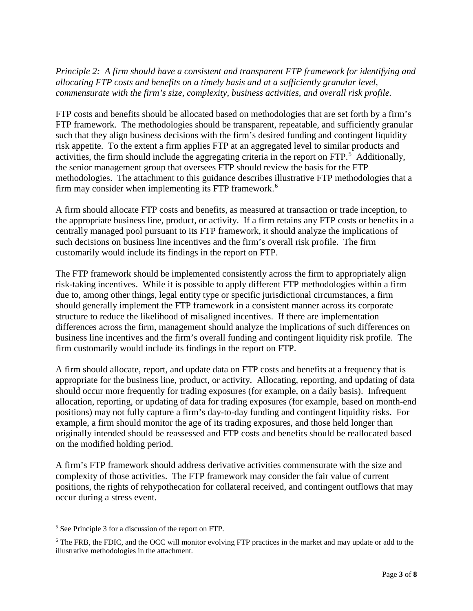*Principle 2: A firm should have a consistent and transparent FTP framework for identifying and allocating FTP costs and benefits on a timely basis and at a sufficiently granular level, commensurate with the firm's size, complexity, business activities, and overall risk profile.*

FTP costs and benefits should be allocated based on methodologies that are set forth by a firm's FTP framework. The methodologies should be transparent, repeatable, and sufficiently granular such that they align business decisions with the firm's desired funding and contingent liquidity risk appetite. To the extent a firm applies FTP at an aggregated level to similar products and activities, the firm should include the aggregating criteria in the report on FTP.<sup>[5](#page-2-0)</sup> Additionally, the senior management group that oversees FTP should review the basis for the FTP methodologies. The attachment to this guidance describes illustrative FTP methodologies that a firm may consider when implementing its FTP framework. [6](#page-2-1)

A firm should allocate FTP costs and benefits, as measured at transaction or trade inception, to the appropriate business line, product, or activity. If a firm retains any FTP costs or benefits in a centrally managed pool pursuant to its FTP framework, it should analyze the implications of such decisions on business line incentives and the firm's overall risk profile. The firm customarily would include its findings in the report on FTP.

The FTP framework should be implemented consistently across the firm to appropriately align risk-taking incentives. While it is possible to apply different FTP methodologies within a firm due to, among other things, legal entity type or specific jurisdictional circumstances, a firm should generally implement the FTP framework in a consistent manner across its corporate structure to reduce the likelihood of misaligned incentives. If there are implementation differences across the firm, management should analyze the implications of such differences on business line incentives and the firm's overall funding and contingent liquidity risk profile. The firm customarily would include its findings in the report on FTP.

A firm should allocate, report, and update data on FTP costs and benefits at a frequency that is appropriate for the business line, product, or activity. Allocating, reporting, and updating of data should occur more frequently for trading exposures (for example, on a daily basis). Infrequent allocation, reporting, or updating of data for trading exposures (for example, based on month-end positions) may not fully capture a firm's day-to-day funding and contingent liquidity risks. For example, a firm should monitor the age of its trading exposures, and those held longer than originally intended should be reassessed and FTP costs and benefits should be reallocated based on the modified holding period.

A firm's FTP framework should address derivative activities commensurate with the size and complexity of those activities. The FTP framework may consider the fair value of current positions, the rights of rehypothecation for collateral received, and contingent outflows that may occur during a stress event.

<span id="page-2-0"></span> <sup>5</sup> See Principle 3 for a discussion of the report on FTP.

<span id="page-2-1"></span><sup>&</sup>lt;sup>6</sup> The FRB, the FDIC, and the OCC will monitor evolving FTP practices in the market and may update or add to the illustrative methodologies in the attachment.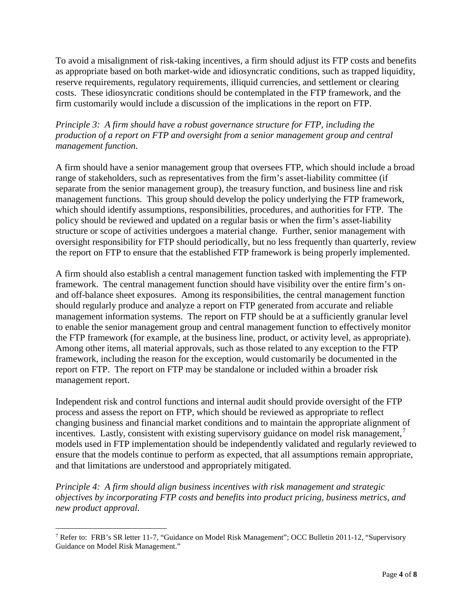To avoid a misalignment of risk-taking incentives, a firm should adjust its FTP costs and benefits as appropriate based on both market-wide and idiosyncratic conditions, such as trapped liquidity, reserve requirements, regulatory requirements, illiquid currencies, and settlement or clearing costs. These idiosyncratic conditions should be contemplated in the FTP framework, and the firm customarily would include a discussion of the implications in the report on FTP.

## *Principle 3: A firm should have a robust governance structure for FTP, including the production of a report on FTP and oversight from a senior management group and central management function.*

A firm should have a senior management group that oversees FTP, which should include a broad range of stakeholders, such as representatives from the firm's asset-liability committee (if separate from the senior management group), the treasury function, and business line and risk management functions. This group should develop the policy underlying the FTP framework, which should identify assumptions, responsibilities, procedures, and authorities for FTP. The policy should be reviewed and updated on a regular basis or when the firm's asset-liability structure or scope of activities undergoes a material change. Further, senior management with oversight responsibility for FTP should periodically, but no less frequently than quarterly, review the report on FTP to ensure that the established FTP framework is being properly implemented.

A firm should also establish a central management function tasked with implementing the FTP framework. The central management function should have visibility over the entire firm's onand off-balance sheet exposures. Among its responsibilities, the central management function should regularly produce and analyze a report on FTP generated from accurate and reliable management information systems. The report on FTP should be at a sufficiently granular level to enable the senior management group and central management function to effectively monitor the FTP framework (for example, at the business line, product, or activity level, as appropriate). Among other items, all material approvals, such as those related to any exception to the FTP framework, including the reason for the exception, would customarily be documented in the report on FTP. The report on FTP may be standalone or included within a broader risk management report.

Independent risk and control functions and internal audit should provide oversight of the FTP process and assess the report on FTP, which should be reviewed as appropriate to reflect changing business and financial market conditions and to maintain the appropriate alignment of incentives. Lastly, consistent with existing supervisory guidance on model risk management,<sup>[7](#page-3-0)</sup> models used in FTP implementation should be independently validated and regularly reviewed to ensure that the models continue to perform as expected, that all assumptions remain appropriate, and that limitations are understood and appropriately mitigated.

*Principle 4: A firm should align business incentives with risk management and strategic objectives by incorporating FTP costs and benefits into product pricing, business metrics, and new product approval.*

<span id="page-3-0"></span><sup>&</sup>lt;sup>7</sup> Refer to: FRB's SR letter 11-7, "Guidance on Model Risk Management"; OCC Bulletin 2011-12, "Supervisory Guidance on Model Risk Management."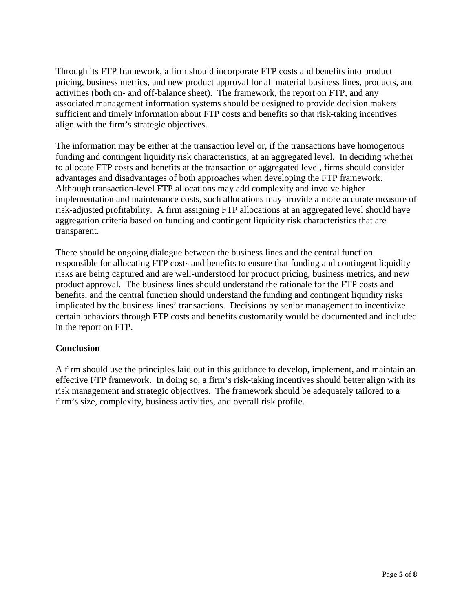Through its FTP framework, a firm should incorporate FTP costs and benefits into product pricing, business metrics, and new product approval for all material business lines, products, and activities (both on- and off-balance sheet). The framework, the report on FTP, and any associated management information systems should be designed to provide decision makers sufficient and timely information about FTP costs and benefits so that risk-taking incentives align with the firm's strategic objectives.

The information may be either at the transaction level or, if the transactions have homogenous funding and contingent liquidity risk characteristics, at an aggregated level. In deciding whether to allocate FTP costs and benefits at the transaction or aggregated level, firms should consider advantages and disadvantages of both approaches when developing the FTP framework. Although transaction-level FTP allocations may add complexity and involve higher implementation and maintenance costs, such allocations may provide a more accurate measure of risk-adjusted profitability. A firm assigning FTP allocations at an aggregated level should have aggregation criteria based on funding and contingent liquidity risk characteristics that are transparent.

There should be ongoing dialogue between the business lines and the central function responsible for allocating FTP costs and benefits to ensure that funding and contingent liquidity risks are being captured and are well-understood for product pricing, business metrics, and new product approval. The business lines should understand the rationale for the FTP costs and benefits, and the central function should understand the funding and contingent liquidity risks implicated by the business lines' transactions. Decisions by senior management to incentivize certain behaviors through FTP costs and benefits customarily would be documented and included in the report on FTP.

## **Conclusion**

A firm should use the principles laid out in this guidance to develop, implement, and maintain an effective FTP framework. In doing so, a firm's risk-taking incentives should better align with its risk management and strategic objectives. The framework should be adequately tailored to a firm's size, complexity, business activities, and overall risk profile.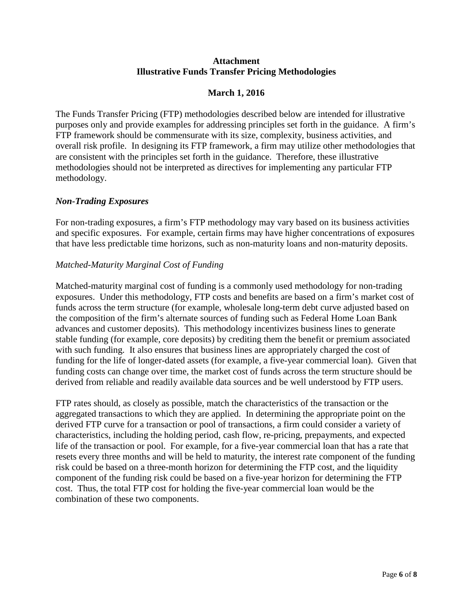#### **Attachment Illustrative Funds Transfer Pricing Methodologies**

### **March 1, 2016**

The Funds Transfer Pricing (FTP) methodologies described below are intended for illustrative purposes only and provide examples for addressing principles set forth in the guidance. A firm's FTP framework should be commensurate with its size, complexity, business activities, and overall risk profile. In designing its FTP framework, a firm may utilize other methodologies that are consistent with the principles set forth in the guidance. Therefore, these illustrative methodologies should not be interpreted as directives for implementing any particular FTP methodology.

### *Non-Trading Exposures*

For non-trading exposures, a firm's FTP methodology may vary based on its business activities and specific exposures. For example, certain firms may have higher concentrations of exposures that have less predictable time horizons, such as non-maturity loans and non-maturity deposits.

### *Matched-Maturity Marginal Cost of Funding*

Matched-maturity marginal cost of funding is a commonly used methodology for non-trading exposures. Under this methodology, FTP costs and benefits are based on a firm's market cost of funds across the term structure (for example, wholesale long-term debt curve adjusted based on the composition of the firm's alternate sources of funding such as Federal Home Loan Bank advances and customer deposits). This methodology incentivizes business lines to generate stable funding (for example, core deposits) by crediting them the benefit or premium associated with such funding. It also ensures that business lines are appropriately charged the cost of funding for the life of longer-dated assets (for example, a five-year commercial loan). Given that funding costs can change over time, the market cost of funds across the term structure should be derived from reliable and readily available data sources and be well understood by FTP users.

FTP rates should, as closely as possible, match the characteristics of the transaction or the aggregated transactions to which they are applied. In determining the appropriate point on the derived FTP curve for a transaction or pool of transactions, a firm could consider a variety of characteristics, including the holding period, cash flow, re-pricing, prepayments, and expected life of the transaction or pool. For example, for a five-year commercial loan that has a rate that resets every three months and will be held to maturity, the interest rate component of the funding risk could be based on a three-month horizon for determining the FTP cost, and the liquidity component of the funding risk could be based on a five-year horizon for determining the FTP cost. Thus, the total FTP cost for holding the five-year commercial loan would be the combination of these two components.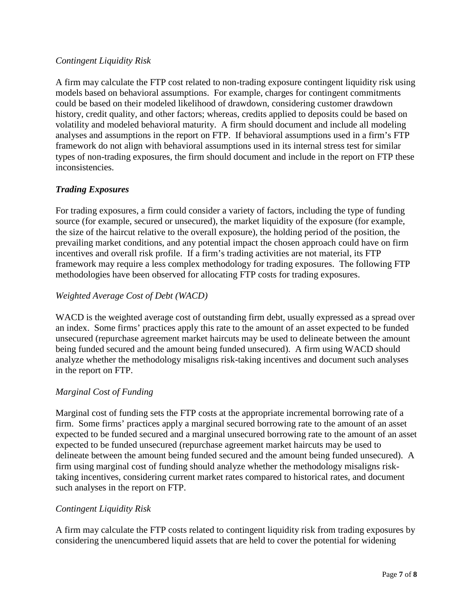### *Contingent Liquidity Risk*

A firm may calculate the FTP cost related to non-trading exposure contingent liquidity risk using models based on behavioral assumptions. For example, charges for contingent commitments could be based on their modeled likelihood of drawdown, considering customer drawdown history, credit quality, and other factors; whereas, credits applied to deposits could be based on volatility and modeled behavioral maturity. A firm should document and include all modeling analyses and assumptions in the report on FTP. If behavioral assumptions used in a firm's FTP framework do not align with behavioral assumptions used in its internal stress test for similar types of non-trading exposures, the firm should document and include in the report on FTP these inconsistencies.

### *Trading Exposures*

For trading exposures, a firm could consider a variety of factors, including the type of funding source (for example, secured or unsecured), the market liquidity of the exposure (for example, the size of the haircut relative to the overall exposure), the holding period of the position, the prevailing market conditions, and any potential impact the chosen approach could have on firm incentives and overall risk profile. If a firm's trading activities are not material, its FTP framework may require a less complex methodology for trading exposures. The following FTP methodologies have been observed for allocating FTP costs for trading exposures.

### *Weighted Average Cost of Debt (WACD)*

WACD is the weighted average cost of outstanding firm debt, usually expressed as a spread over an index. Some firms' practices apply this rate to the amount of an asset expected to be funded unsecured (repurchase agreement market haircuts may be used to delineate between the amount being funded secured and the amount being funded unsecured). A firm using WACD should analyze whether the methodology misaligns risk-taking incentives and document such analyses in the report on FTP.

### *Marginal Cost of Funding*

Marginal cost of funding sets the FTP costs at the appropriate incremental borrowing rate of a firm. Some firms' practices apply a marginal secured borrowing rate to the amount of an asset expected to be funded secured and a marginal unsecured borrowing rate to the amount of an asset expected to be funded unsecured (repurchase agreement market haircuts may be used to delineate between the amount being funded secured and the amount being funded unsecured). A firm using marginal cost of funding should analyze whether the methodology misaligns risktaking incentives, considering current market rates compared to historical rates, and document such analyses in the report on FTP.

### *Contingent Liquidity Risk*

A firm may calculate the FTP costs related to contingent liquidity risk from trading exposures by considering the unencumbered liquid assets that are held to cover the potential for widening